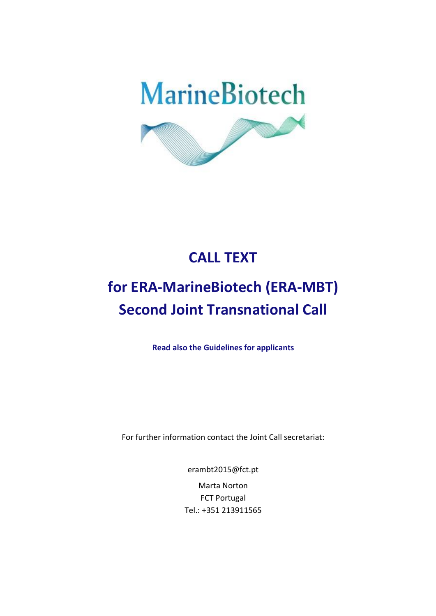

## **CALL TEXT**

# **for ERA-MarineBiotech (ERA-MBT) Second Joint Transnational Call**

**Read also the Guidelines for applicants**

For further information contact the Joint Call secretariat:

er[ambt2015@fct.pt](mailto:mbt2015@fct.pt) Marta Norton FCT Portugal

Tel.: +351 213911565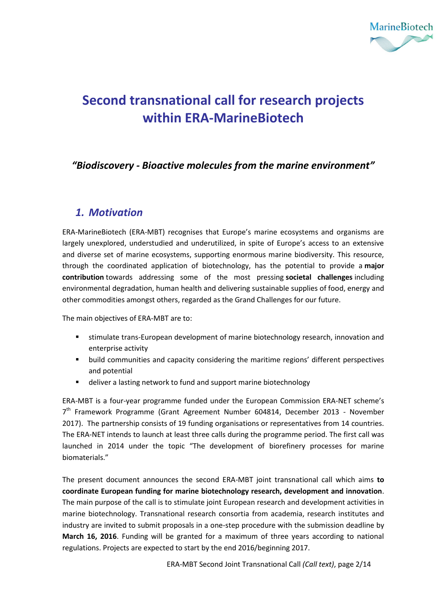

## **Second transnational call for research projects within ERA-MarineBiotech**

### *"Biodiscovery - Bioactive molecules from the marine environment"*

### *1. Motivation*

ERA-MarineBiotech (ERA-MBT) recognises that Europe's marine ecosystems and organisms are largely unexplored, understudied and underutilized, in spite of Europe's access to an extensive and diverse set of marine ecosystems, supporting enormous marine biodiversity. This resource, through the coordinated application of biotechnology, has the potential to provide a **major contribution** towards addressing some of the most pressing **societal challenges** including environmental degradation, human health and delivering sustainable supplies of food, energy and other commodities amongst others, regarded as the Grand Challenges for our future.

The main objectives of ERA-MBT are to:

- stimulate trans-European development of marine biotechnology research, innovation and enterprise activity
- build communities and capacity considering the maritime regions' different perspectives and potential
- deliver a lasting network to fund and support marine biotechnology

ERA-MBT is a four-year programme funded under the European Commission ERA-NET scheme's 7<sup>th</sup> Framework Programme (Grant Agreement Number 604814, December 2013 - November 2017). The partnership consists of 19 funding organisations or representatives from 14 countries. The ERA-NET intends to launch at least three calls during the programme period. The first call was launched in 2014 under the topic "The development of biorefinery processes for marine biomaterials."

The present document announces the second ERA-MBT joint transnational call which aims **to coordinate European funding for marine biotechnology research, development and innovation**. The main purpose of the call is to stimulate joint European research and development activities in marine biotechnology. Transnational research consortia from academia, research institutes and industry are invited to submit proposals in a one-step procedure with the submission deadline by **March 16, 2016**. Funding will be granted for a maximum of three years according to national regulations. Projects are expected to start by the end 2016/beginning 2017.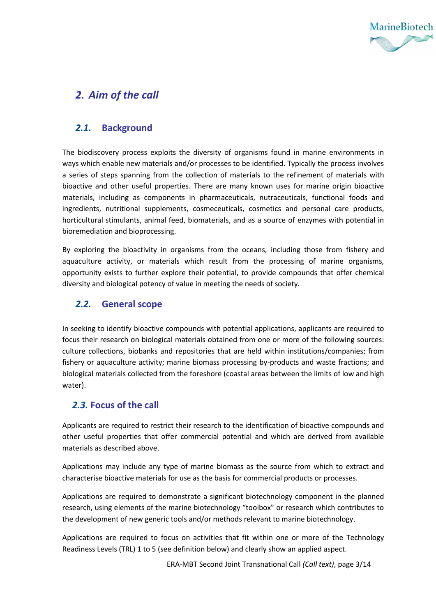

### *2. Aim of the call*

#### *2.1.* **Background**

The biodiscovery process exploits the diversity of organisms found in marine environments in ways which enable new materials and/or processes to be identified. Typically the process involves a series of steps spanning from the collection of materials to the refinement of materials with bioactive and other useful properties. There are many known uses for marine origin bioactive materials, including as components in pharmaceuticals, nutraceuticals, functional foods and ingredients, nutritional supplements, cosmeceuticals, cosmetics and personal care products, horticultural stimulants, animal feed, biomaterials, and as a source of enzymes with potential in bioremediation and bioprocessing.

By exploring the bioactivity in organisms from the oceans, including those from fishery and aquaculture activity, or materials which result from the processing of marine organisms, opportunity exists to further explore their potential, to provide compounds that offer chemical diversity and biological potency of value in meeting the needs of society.

#### *2.2.* **General scope**

In seeking to identify bioactive compounds with potential applications, applicants are required to focus their research on biological materials obtained from one or more of the following sources: culture collections, biobanks and repositories that are held within institutions/companies; from fishery or aquaculture activity; marine biomass processing by-products and waste fractions; and biological materials collected from the foreshore (coastal areas between the limits of low and high water).

#### *2.3.* **Focus of the call**

Applicants are required to restrict their research to the identification of bioactive compounds and other useful properties that offer commercial potential and which are derived from available materials as described above.

Applications may include any type of marine biomass as the source from which to extract and characterise bioactive materials for use as the basis for commercial products or processes.

Applications are required to demonstrate a significant biotechnology component in the planned research, using elements of the marine biotechnology "toolbox" or research which contributes to the development of new generic tools and/or methods relevant to marine biotechnology.

Applications are required to focus on activities that fit within one or more of the Technology Readiness Levels (TRL) 1 to 5 (see definition below) and clearly show an applied aspect.

ERA-MBT Second Joint Transnational Call *(Call text)*, page 3/14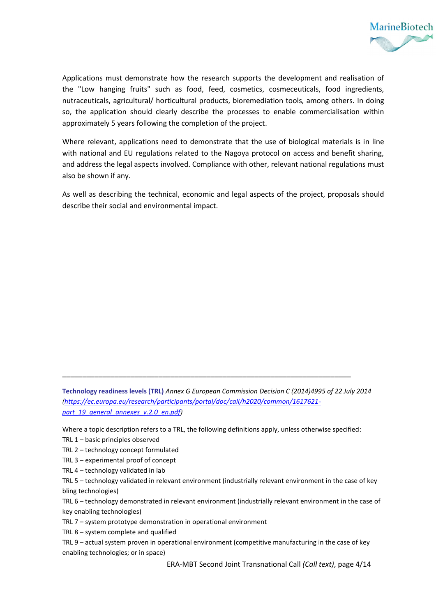

Applications must demonstrate how the research supports the development and realisation of the "Low hanging fruits" such as food, feed, cosmetics, cosmeceuticals, food ingredients, nutraceuticals, agricultural/ horticultural products, bioremediation tools, among others. In doing so, the application should clearly describe the processes to enable commercialisation within approximately 5 years following the completion of the project.

Where relevant, applications need to demonstrate that the use of biological materials is in line with national and EU regulations related to the Nagoya protocol on access and benefit sharing, and address the legal aspects involved. Compliance with other, relevant national regulations must also be shown if any.

As well as describing the technical, economic and legal aspects of the project, proposals should describe their social and environmental impact.

**Technology readiness levels (TRL)** *Annex G European Commission Decision C (2014)4995 of 22 July 2014 [\(https://ec.europa.eu/research/participants/portal/doc/call/h2020/common/1617621](https://ec.europa.eu/research/participants/portal/doc/call/h2020/common/1617621-part_19_general_annexes_v.2.0_en.pdf) [part\\_19\\_general\\_annexes\\_v.2.0\\_en.pdf\)](https://ec.europa.eu/research/participants/portal/doc/call/h2020/common/1617621-part_19_general_annexes_v.2.0_en.pdf)*

\_\_\_\_\_\_\_\_\_\_\_\_\_\_\_\_\_\_\_\_\_\_\_\_\_\_\_\_\_\_\_\_\_\_\_\_\_\_\_\_\_\_\_\_\_\_\_\_\_\_\_\_\_\_\_\_\_\_\_\_\_\_\_\_\_\_\_\_\_\_\_\_

Where a topic description refers to a TRL, the following definitions apply, unless otherwise specified:

TRL 1 – basic principles observed

TRL 2 – technology concept formulated

TRL 3 – experimental proof of concept

TRL 4 – technology validated in lab

TRL 5 – technology validated in relevant environment (industrially relevant environment in the case of key bling technologies)

TRL 6 – technology demonstrated in relevant environment (industrially relevant environment in the case of key enabling technologies)

TRL 7 – system prototype demonstration in operational environment

TRL 8 – system complete and qualified

TRL 9 – actual system proven in operational environment (competitive manufacturing in the case of key enabling technologies; or in space)

ERA-MBT Second Joint Transnational Call *(Call text)*, page 4/14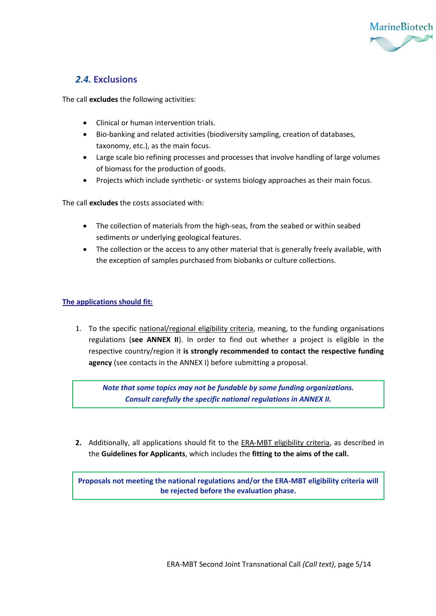

#### *2.4.* **Exclusions**

The call **excludes** the following activities:

- Clinical or human intervention trials.
- Bio-banking and related activities (biodiversity sampling, creation of databases, taxonomy, etc.), as the main focus.
- Large scale bio refining processes and processes that involve handling of large volumes of biomass for the production of goods.
- Projects which include synthetic- or systems biology approaches as their main focus.

The call **excludes** the costs associated with:

- The collection of materials from the high-seas, from the seabed or within seabed sediments or underlying geological features.
- The collection or the access to any other material that is generally freely available, with the exception of samples purchased from biobanks or culture collections.

#### **The applications should fit:**

1. To the specific national/regional eligibility criteria, meaning, to the funding organisations regulations (**see ANNEX II**). In order to find out whether a project is eligible in the respective country/region it **is strongly recommended to contact the respective funding agency** (see contacts in the ANNEX I) before submitting a proposal.

*Note that some topics may not be fundable by some funding organizations. Consult carefully the specific national regulations in ANNEX II.*

**2.** Additionally, all applications should fit to the ERA-MBT eligibility criteria, as described in the **Guidelines for Applicants**, which includes the **fitting to the aims of the call.** 

**Proposals not meeting the national regulations and/or the ERA-MBT eligibility criteria will be rejected before the evaluation phase.**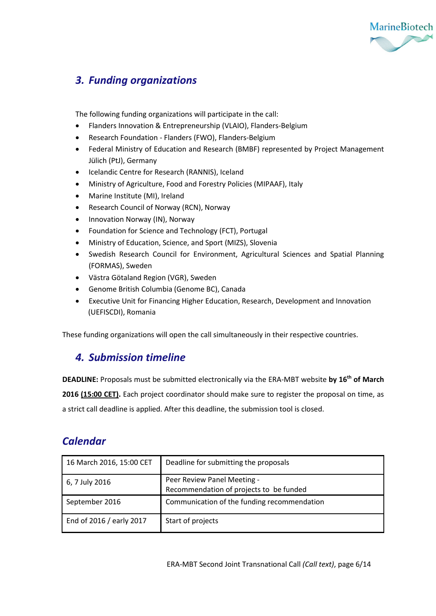

### *3. Funding organizations*

The following funding organizations will participate in the call:

- Flanders Innovation & Entrepreneurship (VLAIO), Flanders-Belgium
- Research Foundation Flanders (FWO), Flanders-Belgium
- Federal Ministry of Education and Research (BMBF) represented by Project Management Jülich (PtJ), Germany
- Icelandic Centre for Research (RANNIS), Iceland
- Ministry of Agriculture, Food and Forestry Policies (MIPAAF), Italy
- Marine Institute (MI), Ireland
- Research Council of Norway (RCN), Norway
- Innovation Norway (IN), Norway
- Foundation for Science and Technology (FCT), Portugal
- Ministry of Education, Science, and Sport (MIZS), Slovenia
- Swedish Research Council for Environment, Agricultural Sciences and Spatial Planning (FORMAS), Sweden
- Västra Götaland Region (VGR), Sweden
- Genome British Columbia (Genome BC), Canada
- Executive Unit for Financing Higher Education, Research, Development and Innovation (UEFISCDI), Romania

These funding organizations will open the call simultaneously in their respective countries.

### *4. Submission timeline*

**DEADLINE:** Proposals must be submitted electronically via the ERA-MBT website **by 16th of March** 2016 (15:00 CET). Each project coordinator should make sure to register the proposal on time, as a strict call deadline is applied. After this deadline, the submission tool is closed.

### *Calendar*

| 16 March 2016, 15:00 CET | Deadline for submitting the proposals                                  |
|--------------------------|------------------------------------------------------------------------|
| 6, 7 July 2016           | Peer Review Panel Meeting -<br>Recommendation of projects to be funded |
| September 2016           | Communication of the funding recommendation                            |
| End of 2016 / early 2017 | Start of projects                                                      |

ERA-MBT Second Joint Transnational Call *(Call text)*, page 6/14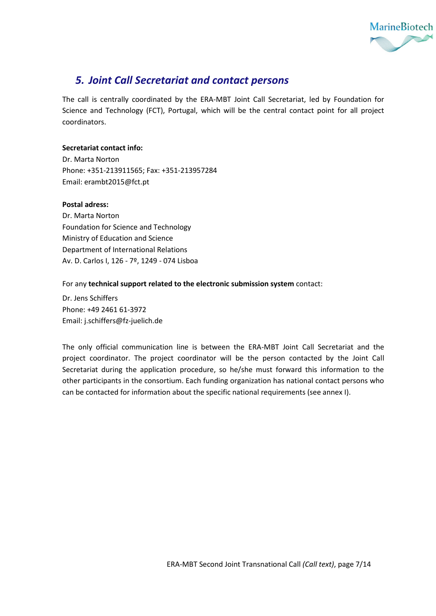

### *5. Joint Call Secretariat and contact persons*

The call is centrally coordinated by the ERA-MBT Joint Call Secretariat, led by Foundation for Science and Technology (FCT), Portugal, which will be the central contact point for all project coordinators.

#### **Secretariat contact info:**

Dr. Marta Norton Phone: +351-213911565; Fax: +351-213957284 Email: er[ambt2015@fct.pt](mailto:mbt2015@fct.pt)

#### **Postal adress:**

Dr. Marta Norton Foundation for Science and Technology Ministry of Education and Science Department of International Relations Av. D. Carlos I, 126 - 7º, 1249 - 074 Lisboa

#### For any **technical support related to the electronic submission system** contact:

Dr. Jens Schiffers Phone: +49 2461 61-3972 Email: [j.schiffers@fz-juelich.de](mailto:j.schiffers@fz-juelich.de)

The only official communication line is between the ERA-MBT Joint Call Secretariat and the project coordinator. The project coordinator will be the person contacted by the Joint Call Secretariat during the application procedure, so he/she must forward this information to the other participants in the consortium. Each funding organization has national contact persons who can be contacted for information about the specific national requirements (see annex I).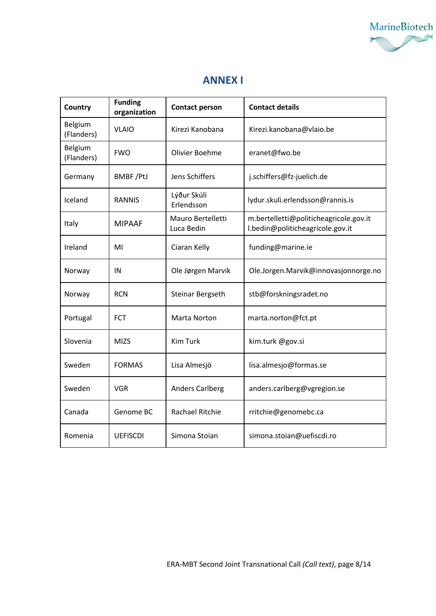

### **ANNEX I**

| Country               | <b>Funding</b><br>organization | <b>Contact person</b>           | <b>Contact details</b>                                                     |
|-----------------------|--------------------------------|---------------------------------|----------------------------------------------------------------------------|
| Belgium<br>(Flanders) | <b>VLAIO</b>                   | Kirezi Kanobana                 | Kirezi.kanobana@vlaio.be                                                   |
| Belgium<br>(Flanders) | <b>FWO</b>                     | Olivier Boehme                  | eranet@fwo.be                                                              |
| Germany               | <b>BMBF/PtJ</b>                | Jens Schiffers                  | j.schiffers@fz-juelich.de                                                  |
| Iceland               | <b>RANNIS</b>                  | Lýður Skúli<br>Erlendsson       | lydur.skuli.erlendsson@rannis.is                                           |
| Italy                 | MIPAAF                         | Mauro Bertelletti<br>Luca Bedin | m.bertelletti@politicheagricole.gov.it<br>l.bedin@politicheagricole.gov.it |
| Ireland               | MI                             | Ciaran Kelly                    | funding@marine.ie                                                          |
| Norway                | IN                             | Ole Jørgen Marvik               | Ole.Jorgen.Marvik@innovasjonnorge.no                                       |
| Norway                | <b>RCN</b>                     | Steinar Bergseth                | stb@forskningsradet.no                                                     |
| Portugal              | <b>FCT</b>                     | <b>Marta Norton</b>             | marta.norton@fct.pt                                                        |
| Slovenia              | <b>MIZS</b>                    | <b>Kim Turk</b>                 | kim.turk @gov.si                                                           |
| Sweden                | <b>FORMAS</b>                  | Lisa Almesjö                    | lisa.almesjo@formas.se                                                     |
| Sweden                | <b>VGR</b>                     | <b>Anders Carlberg</b>          | anders.carlberg@vgregion.se                                                |
| Canada                | Genome BC                      | <b>Rachael Ritchie</b>          | rritchie@genomebc.ca                                                       |
| Romenia               | <b>UEFISCDI</b>                | Simona Stoian                   | simona.stoian@uefiscdi.ro                                                  |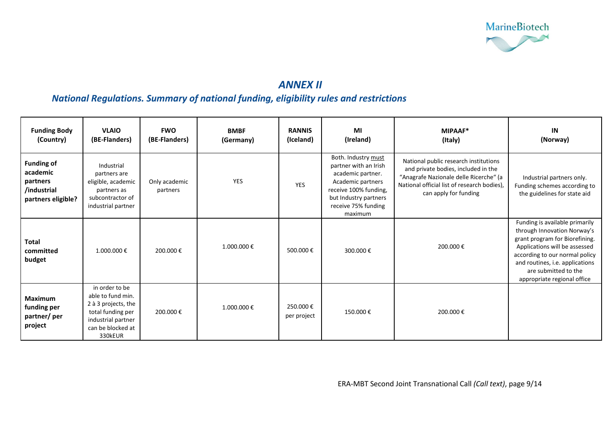

### *ANNEX II*

### *National Regulations. Summary of national funding, eligibility rules and restrictions*

| <b>Funding Body</b><br>(Country)                                               | <b>VLAIO</b><br>(BE-Flanders)                                                                                                         | <b>FWO</b><br>(BE-Flanders) | <b>BMBF</b><br>(Germany) | <b>RANNIS</b><br>(Iceland) | MI<br>(Ireland)                                                                                                                                                            | MIPAAF*<br>(Italy)                                                                                                                                                                             | IN<br>(Norway)                                                                                                                                                                                                                                               |
|--------------------------------------------------------------------------------|---------------------------------------------------------------------------------------------------------------------------------------|-----------------------------|--------------------------|----------------------------|----------------------------------------------------------------------------------------------------------------------------------------------------------------------------|------------------------------------------------------------------------------------------------------------------------------------------------------------------------------------------------|--------------------------------------------------------------------------------------------------------------------------------------------------------------------------------------------------------------------------------------------------------------|
| <b>Funding of</b><br>academic<br>partners<br>/industrial<br>partners eligible? | Industrial<br>partners are<br>eligible, academic<br>partners as<br>subcontractor of<br>industrial partner                             | Only academic<br>partners   | YES                      | <b>YES</b>                 | Both. Industry must<br>partner with an Irish<br>academic partner.<br>Academic partners<br>receive 100% funding,<br>but Industry partners<br>receive 75% funding<br>maximum | National public research institutions<br>and private bodies, included in the<br>"Anagrafe Nazionale delle Ricerche" (a<br>National official list of research bodies),<br>can apply for funding | Industrial partners only.<br>Funding schemes according to<br>the guidelines for state aid                                                                                                                                                                    |
| Total<br>committed<br>budget                                                   | 1.000.000€                                                                                                                            | 200.000€                    | 1.000.000€               | 500.000€                   | 300.000€                                                                                                                                                                   | 200.000€                                                                                                                                                                                       | Funding is available primarily<br>through Innovation Norway's<br>grant program for Biorefining.<br>Applications will be assessed<br>according to our normal policy<br>and routines, i.e. applications<br>are submitted to the<br>appropriate regional office |
| Maximum<br>funding per<br>partner/per<br>project                               | in order to be<br>able to fund min.<br>2 à 3 projects, the<br>total funding per<br>industrial partner<br>can be blocked at<br>330kEUR | 200.000€                    | 1.000.000€               | 250.000€<br>per project    | 150.000€                                                                                                                                                                   | 200.000€                                                                                                                                                                                       |                                                                                                                                                                                                                                                              |

ERA-MBT Second Joint Transnational Call *(Call text)*, page 9/14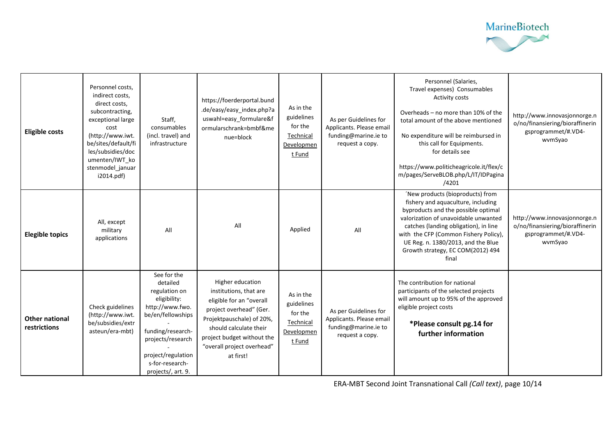

| <b>Eligible costs</b>                 | Personnel costs,<br>indirect costs,<br>direct costs,<br>subcontracting,<br>exceptional large<br>cost<br>(http://www.iwt.<br>be/sites/default/fi<br>les/subsidies/doc<br>umenten/IWT ko<br>stenmodel_januar<br>i2014.pdf) | Staff,<br>consumables<br>(incl. travel) and<br>infrastructure                                                                                                                                             | https://foerderportal.bund<br>.de/easy/easy index.php?a<br>uswahl=easy_formulare&f<br>ormularschrank=bmbf&me<br>nue=block                                                                                                         | As in the<br>guidelines<br>for the<br>Technical<br>Developmen<br>t Fund | As per Guidelines for<br>Applicants. Please email<br>funding@marine.ie to<br>request a copy. | Personnel (Salaries,<br>Travel expenses) Consumables<br>Activity costs<br>Overheads - no more than 10% of the<br>total amount of the above mentioned<br>No expenditure will be reimbursed in<br>this call for Equipments.<br>for details see<br>https://www.politicheagricole.it/flex/c<br>m/pages/ServeBLOB.php/L/IT/IDPagina<br>/4201 | http://www.innovasjonnorge.n<br>o/no/finansiering/bioraffinerin<br>gsprogrammet/#.VD4-<br>wvmSyao |
|---------------------------------------|--------------------------------------------------------------------------------------------------------------------------------------------------------------------------------------------------------------------------|-----------------------------------------------------------------------------------------------------------------------------------------------------------------------------------------------------------|-----------------------------------------------------------------------------------------------------------------------------------------------------------------------------------------------------------------------------------|-------------------------------------------------------------------------|----------------------------------------------------------------------------------------------|-----------------------------------------------------------------------------------------------------------------------------------------------------------------------------------------------------------------------------------------------------------------------------------------------------------------------------------------|---------------------------------------------------------------------------------------------------|
| <b>Elegible topics</b>                | All, except<br>military<br>applications                                                                                                                                                                                  | All                                                                                                                                                                                                       | All                                                                                                                                                                                                                               | Applied                                                                 | All                                                                                          | 'New products (bioproducts) from<br>fishery and aquaculture, including<br>byproducts and the possible optimal<br>valorization of unavoidable unwanted<br>catches (landing obligation), in line<br>with the CFP (Common Fishery Policy),<br>UE Reg. n. 1380/2013, and the Blue<br>Growth strategy, EC COM(2012) 494<br>final             | http://www.innovasjonnorge.n<br>o/no/finansiering/bioraffinerin<br>gsprogrammet/#.VD4-<br>wvmSyao |
| <b>Other national</b><br>restrictions | Check guidelines<br>(http://www.iwt.<br>be/subsidies/extr<br>asteun/era-mbt)                                                                                                                                             | See for the<br>detailed<br>regulation on<br>eligibility:<br>http://www.fwo.<br>be/en/fellowships<br>funding/research-<br>projects/research<br>project/regulation<br>s-for-research-<br>projects/, art. 9. | Higher education<br>institutions, that are<br>eligible for an "overall<br>project overhead" (Ger.<br>Projektpauschale) of 20%,<br>should calculate their<br>project budget without the<br>"overall project overhead"<br>at first! | As in the<br>guidelines<br>for the<br>Technical<br>Developmen<br>t Fund | As per Guidelines for<br>Applicants. Please email<br>funding@marine.ie to<br>request a copy. | The contribution for national<br>participants of the selected projects<br>will amount up to 95% of the approved<br>eligible project costs<br>*Please consult pg.14 for<br>further information                                                                                                                                           |                                                                                                   |

ERA-MBT Second Joint Transnational Call *(Call text)*, page 10/14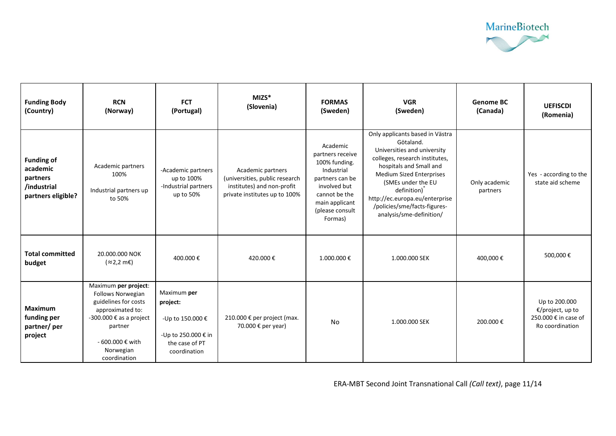

| <b>Funding Body</b><br>(Country)                                               | <b>RCN</b><br>(Norway)                                                                                                                                                       | <b>FCT</b><br>(Portugal)                                                                             | $MIZS*$<br>(Slovenia)                                                                                              | <b>FORMAS</b><br>(Sweden)                                                                                                                                       | <b>VGR</b><br>(Sweden)                                                                                                                                                                                                                                                                                  | <b>Genome BC</b><br>(Canada) | <b>UEFISCDI</b><br>(Romenia)                                                 |
|--------------------------------------------------------------------------------|------------------------------------------------------------------------------------------------------------------------------------------------------------------------------|------------------------------------------------------------------------------------------------------|--------------------------------------------------------------------------------------------------------------------|-----------------------------------------------------------------------------------------------------------------------------------------------------------------|---------------------------------------------------------------------------------------------------------------------------------------------------------------------------------------------------------------------------------------------------------------------------------------------------------|------------------------------|------------------------------------------------------------------------------|
| <b>Funding of</b><br>academic<br>partners<br>/industrial<br>partners eligible? | Academic partners<br>100%<br>Industrial partners up<br>to 50%                                                                                                                | -Academic partners<br>up to 100%<br>-Industrial partners<br>up to 50%                                | Academic partners<br>(universities, public research<br>institutes) and non-profit<br>private institutes up to 100% | Academic<br>partners receive<br>100% funding.<br>Industrial<br>partners can be<br>involved but<br>cannot be the<br>main applicant<br>(please consult<br>Formas) | Only applicants based in Västra<br>Götaland.<br>Universities and university<br>colleges, research institutes,<br>hospitals and Small and<br>Medium Sized Enterprises<br>(SMEs under the EU<br>definition)<br>http://ec.europa.eu/enterprise<br>/policies/sme/facts-figures-<br>analysis/sme-definition/ | Only academic<br>partners    | Yes - according to the<br>state aid scheme                                   |
| <b>Total committed</b><br>budget                                               | 20.000.000 NOK<br>$(z2,2 \text{ mE})$                                                                                                                                        | 400.000€                                                                                             | 420.000€                                                                                                           | 1.000.000€                                                                                                                                                      | 1.000.000 SEK                                                                                                                                                                                                                                                                                           | 400,000€                     | 500,000€                                                                     |
| <b>Maximum</b><br>funding per<br>partner/per<br>project                        | Maximum per project:<br>Follows Norwegian<br>guidelines for costs<br>approximated to:<br>-300.000 € as a project<br>partner<br>- 600.000 € with<br>Norwegian<br>coordination | Maximum per<br>project:<br>-Up to 150.000 €<br>-Up to 250.000 € in<br>the case of PT<br>coordination | 210.000 € per project (max.<br>70.000 € per year)                                                                  | No                                                                                                                                                              | 1.000.000 SEK                                                                                                                                                                                                                                                                                           | 200.000€                     | Up to 200.000<br>€/project, up to<br>250.000 € in case of<br>Ro coordination |

ERA-MBT Second Joint Transnational Call *(Call text)*, page 11/14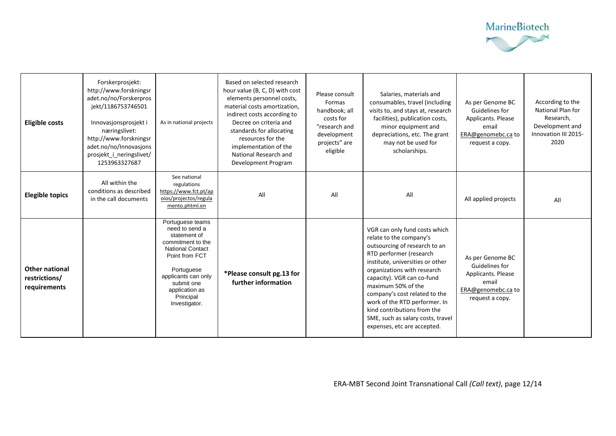

| <b>Eligible costs</b>                                  | Forskerprosjekt:<br>http://www.forskningsr<br>adet.no/no/Forskerpros<br>jekt/1186753746501<br>Innovasjonsprosjekt i<br>næringslivet:<br>http://www.forskningsr<br>adet.no/no/Innovasjons<br>prosjekt i neringslivet/<br>1253963327687 | As in national projects                                                                                                                                                                                                 | Based on selected research<br>hour value (B, C, D) with cost<br>elements personnel costs,<br>material costs amortization.<br>indirect costs according to<br>Decree on criteria and<br>standards for allocating<br>resources for the<br>implementation of the<br>National Research and<br>Development Program | Please consult<br>Formas<br>handbook; all<br>costs for<br>"research and<br>development<br>projects" are<br>eligible | Salaries, materials and<br>consumables, travel (including<br>visits to, and stays at, research<br>facilities), publication costs,<br>minor equipment and<br>depreciations, etc. The grant<br>may not be used for<br>scholarships.                                                                                                                                                                                | As per Genome BC<br>Guidelines for<br>Applicants. Please<br>email<br>ERA@genomebc.ca to<br>request a copy. | According to the<br>National Plan for<br>Research,<br>Development and<br>Innovation III 2015-<br>2020 |
|--------------------------------------------------------|---------------------------------------------------------------------------------------------------------------------------------------------------------------------------------------------------------------------------------------|-------------------------------------------------------------------------------------------------------------------------------------------------------------------------------------------------------------------------|--------------------------------------------------------------------------------------------------------------------------------------------------------------------------------------------------------------------------------------------------------------------------------------------------------------|---------------------------------------------------------------------------------------------------------------------|------------------------------------------------------------------------------------------------------------------------------------------------------------------------------------------------------------------------------------------------------------------------------------------------------------------------------------------------------------------------------------------------------------------|------------------------------------------------------------------------------------------------------------|-------------------------------------------------------------------------------------------------------|
| <b>Elegible topics</b>                                 | All within the<br>conditions as described<br>in the call documents                                                                                                                                                                    | See national<br>regulations<br>https://www.fct.pt/ap<br>oios/projectos/regula<br>mento.phtml.en                                                                                                                         | All                                                                                                                                                                                                                                                                                                          | All                                                                                                                 | All                                                                                                                                                                                                                                                                                                                                                                                                              | All applied projects                                                                                       | All                                                                                                   |
| <b>Other national</b><br>restrictions/<br>requirements |                                                                                                                                                                                                                                       | Portuguese teams<br>need to send a<br>statement of<br>commitment to the<br><b>National Contact</b><br>Point from FCT<br>Portuguese<br>applicants can only<br>submit one<br>application as<br>Principal<br>Investigator. | *Please consult pg.13 for<br>further information                                                                                                                                                                                                                                                             |                                                                                                                     | VGR can only fund costs which<br>relate to the company's<br>outsourcing of research to an<br>RTD performer (research<br>institute, universities or other<br>organizations with research<br>capacity). VGR can co-fund<br>maximum 50% of the<br>company's cost related to the<br>work of the RTD performer. In<br>kind contributions from the<br>SME, such as salary costs, travel<br>expenses, etc are accepted. | As per Genome BC<br>Guidelines for<br>Applicants. Please<br>email<br>ERA@genomebc.ca to<br>request a copy. |                                                                                                       |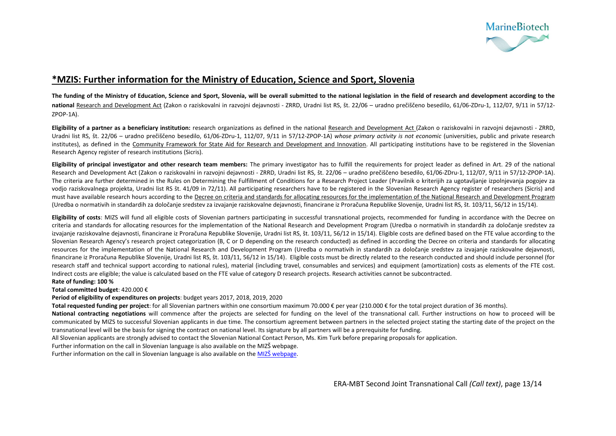

#### **\*MZIS: Further information for the Ministry of Education, Science and Sport, Slovenia**

**The funding of the Ministry of Education, Science and Sport, Slovenia, will be overall submitted to the national legislation in the field of research and development according to the national** [Research and Development Act](https://www.arrs.gov.si/sl/akti/zak-RRD-sept11.asp) (Zakon o raziskovalni in razvojni dejavnosti - ZRRD, Uradni list RS, št. 22/06 – uradno prečiščeno besedilo, 61/06-ZDru-1, 112/07, 9/11 in 57/12- ZPOP-1A).

**Eligibility of a partner as a beneficiary institution:** research organizations as defined in the national [Research and Development Act](https://www.arrs.gov.si/sl/akti/zak-RRD-sept11.asp) (Zakon o raziskovalni in razvojni dejavnosti - ZRRD, Uradni list RS, št. 22/06 – uradno prečiščeno besedilo, 61/06-ZDru-1, 112/07, 9/11 in 57/12-ZPOP-1A) *whose primary activity is not economic* (universities, public and private research institutes), as defined in the [Community Framework for State Aid for Research and Development and Innovation.](http://eur-lex.europa.eu/legal-content/EN/TXT/PDF/?uri=OJ:C:2014:198:FULL&from=SL) All participating institutions have to be registered in the Slovenian Research Agency register of research institutions (Sicris).

**Eligibility of principal investigator and other research team members:** The primary investigator has to fulfill the requirements for project leader as defined in Art. 29 of the national Research and Development Act (Zakon o raziskovalni in razvojni dejavnosti - ZRRD, Uradni list RS, št. 22/06 - uradno prečiščeno besedilo, 61/06-ZDru-1, 112/07, 9/11 in 57/12-ZPOP-1A). The criteria are further determined in the Rules on Determining the Fulfillment of Conditions for a Research Project Leader (Pravilnik o kriterijih za ugotavljanje izpolnjevanja pogojev za vodjo raziskovalnega projekta, Uradni list RS št. 41/09 in 72/11). All participating researchers have to be registered in the Slovenian Research Agency register of researchers (Sicris) and must have available research hours according to the [Decree on criteria and standards for allocating resources for the implementation of the National Research and Development Program](https://www.arrs.gov.si/sl/akti/ured-normstand-rd-marec14.asp) (Uredba o normativih in standardih za določanje sredstev za izvajanje raziskovalne dejavnosti, financirane iz Proračuna Republike Slovenije, Uradni list RS, št. 103/11, 56/12 in 15/14).

**Eligibility of costs:** MIZS will fund all eligible costs of Slovenian partners participating in successful transnational projects, recommended for funding in accordance with the Decree on criteria and standards for allocating resources for the implementation of the National Research and Development Program (Uredba o normativih in standardih za določanje sredstev za izvajanje raziskovalne dejavnosti, financirane iz Proračuna Republike Slovenije, Uradni list RS, št. 103/11, 56/12 in 15/14). Eligible costs are defined based on the FTE value according to the Slovenian Research Agency's research project categorization (B, C or D depending on the research conducted) as defined in according the Decree on criteria and standards for allocating resources for the implementation of the National Research and Development Program (Uredba o normativih in standardih za določanie sredstev za izvajanje raziskovalne dejavnosti, financirane iz Proračuna Republike Slovenije, Uradni list RS, št. 103/11, 56/12 in 15/14). Eligible costs must be directly related to the research conducted and should include personnel (for research staff and technical support according to national rules), material (including travel, consumables and services) and equipment (amortization) costs as elements of the FTE cost. Indirect costs are eligible; the value is calculated based on the FTE value of category D research projects. Research activities cannot be subcontracted.

#### **Rate of funding: 100 %**

**Total committed budget**: 420.000 €

**Period of eligibility of expenditures on projects**: budget years 2017, 2018, 2019, 2020

**Total requested funding per project**: for all Slovenian partners within one consortium maximum 70.000 € per year (210.000 € for the total project duration of 36 months).

**National contracting negotiations** will commence after the projects are selected for funding on the level of the transnational call. Further instructions on how to proceed will be communicated by MIZS to successful Slovenian applicants in due time. The consortium agreement between partners in the selected project stating the starting date of the project on the transnational level will be the basis for signing the contract on national level. Its signature by all partners will be a prerequisite for funding.

All Slovenian applicants are strongly advised to contact the Slovenian National Contact Person, Ms. Kim Turk before preparing proposals for application.

Further information on the call in Slovenian language is also available on the [MIZŠ webpage](http://www.mizs.gov.si/si/javne_objave_in_razpisi/javni_razpisi/).

Further information on the call in Slovenian language is also available on the [MIZŠ webpage](http://www.mizs.gov.si/si/javne_objave_in_razpisi/javni_razpisi/).

ERA-MBT Second Joint Transnational Call *(Call text)*, page 13/14